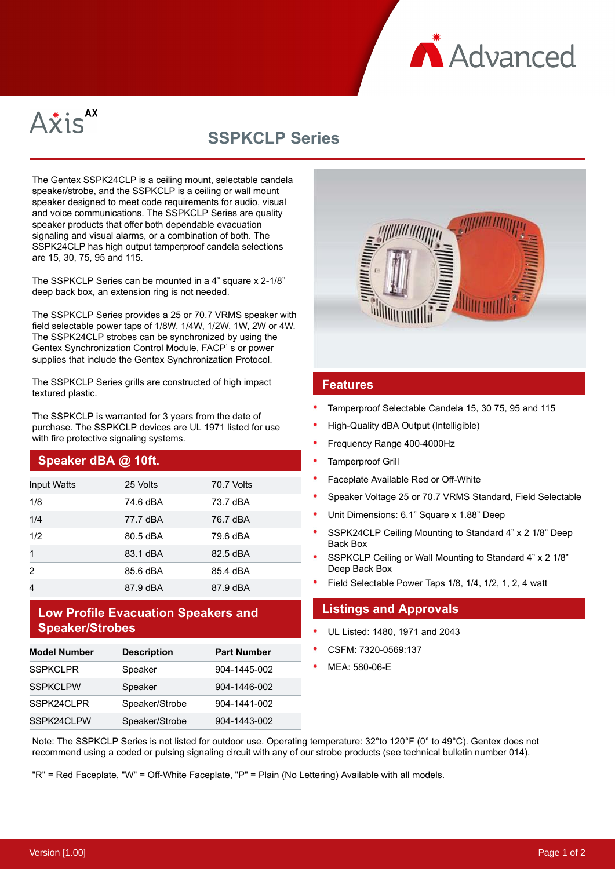



# **SSPKCLP Series**

The Gentex SSPK24CLP is a ceiling mount, selectable candela speaker/strobe, and the SSPKCLP is a ceiling or wall mount speaker designed to meet code requirements for audio, visual and voice communications. The SSPKCLP Series are quality speaker products that offer both dependable evacuation signaling and visual alarms, or a combination of both. The SSPK24CLP has high output tamperproof candela selections are 15, 30, 75, 95 and 115.

The SSPKCLP Series can be mounted in a 4" square x 2-1/8" deep back box, an extension ring is not needed.

The SSPKCLP Series provides a 25 or 70.7 VRMS speaker with field selectable power taps of 1/8W, 1/4W, 1/2W, 1W, 2W or 4W. The SSPK24CLP strobes can be synchronized by using the Gentex Synchronization Control Module, FACP' s or power supplies that include the Gentex Synchronization Protocol.

The SSPKCLP Series grills are constructed of high impact textured plastic.

The SSPKCLP is warranted for 3 years from the date of purchase. The SSPKCLP devices are UL 1971 listed for use with fire protective signaling systems.

# **Speaker dBA @ 10ft.**

| <b>Input Watts</b> | 25 Volts | 70.7 Volts |
|--------------------|----------|------------|
| 1/8                | 74.6 dBA | 73.7 dBA   |
| 1/4                | 77.7 dBA | 76.7 dBA   |
| 1/2                | 80.5 dBA | 79.6 dBA   |
| $\mathbf{1}$       | 83.1 dBA | 82.5 dBA   |
| 2                  | 85.6 dBA | 85.4 dBA   |
| 4                  | 87.9 dBA | 87.9 dBA   |

# **Low Profile Evacuation Speakers and Speaker/Strobes**

| <b>Model Number</b> | <b>Description</b> | <b>Part Number</b> |
|---------------------|--------------------|--------------------|
| <b>SSPKCLPR</b>     | Speaker            | 904-1445-002       |
| <b>SSPKCLPW</b>     | Speaker            | 904-1446-002       |
| SSPK24CLPR          | Speaker/Strobe     | 904-1441-002       |
| SSPK24CLPW          | Speaker/Strobe     | 904-1443-002       |



#### **Features**

- Tamperproof Selectable Candela 15, 30 75, 95 and 115
- High-Quality dBA Output (Intelligible)
- Frequency Range 400-4000Hz
- Tamperproof Grill
- Faceplate Available Red or Off-White
- Speaker Voltage 25 or 70.7 VRMS Standard, Field Selectable
- Unit Dimensions: 6.1" Square x 1.88" Deep
- SSPK24CLP Ceiling Mounting to Standard 4" x 2 1/8" Deep Back Box
- SSPKCLP Ceiling or Wall Mounting to Standard 4" x 2 1/8" Deep Back Box
- Field Selectable Power Taps 1/8, 1/4, 1/2, 1, 2, 4 watt

### **Listings and Approvals**

- UL Listed: 1480, 1971 and 2043
- CSFM: 7320-0569:137
- MEA: 580-06-E

Note: The SSPKCLP Series is not listed for outdoor use. Operating temperature: 32°to 120°F (0° to 49°C). Gentex does not recommend using a coded or pulsing signaling circuit with any of our strobe products (see technical bulletin number 014).

"R" = Red Faceplate, "W" = Off-White Faceplate, "P" = Plain (No Lettering) Available with all models.